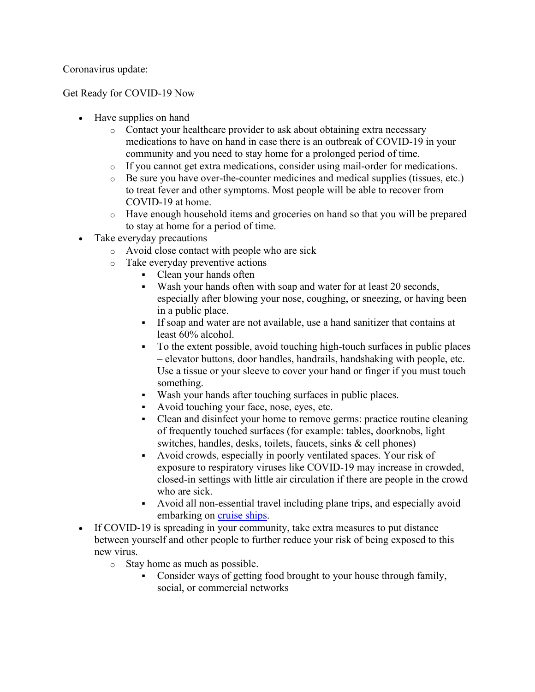### Coronavirus update:

### Get Ready for COVID-19 Now

- Have supplies on hand
	- o Contact your healthcare provider to ask about obtaining extra necessary medications to have on hand in case there is an outbreak of COVID-19 in your community and you need to stay home for a prolonged period of time.
	- o If you cannot get extra medications, consider using mail-order for medications.
	- o Be sure you have over-the-counter medicines and medical supplies (tissues, etc.) to treat fever and other symptoms. Most people will be able to recover from COVID-19 at home.
	- o Have enough household items and groceries on hand so that you will be prepared to stay at home for a period of time.
- Take everyday precautions
	- o Avoid close contact with people who are sick
	- o Take everyday preventive actions
		- Clean your hands often
		- Wash your hands often with soap and water for at least 20 seconds, especially after blowing your nose, coughing, or sneezing, or having been in a public place.
		- If soap and water are not available, use a hand sanitizer that contains at least 60% alcohol.
		- To the extent possible, avoid touching high-touch surfaces in public places – elevator buttons, door handles, handrails, handshaking with people, etc. Use a tissue or your sleeve to cover your hand or finger if you must touch something.
		- Wash your hands after touching surfaces in public places.
		- Avoid touching your face, nose, eyes, etc.
		- Clean and disinfect your home to remove germs: practice routine cleaning of frequently touched surfaces (for example: tables, doorknobs, light switches, handles, desks, toilets, faucets, sinks & cell phones)
		- Avoid crowds, especially in poorly ventilated spaces. Your risk of exposure to respiratory viruses like COVID-19 may increase in crowded, closed-in settings with little air circulation if there are people in the crowd who are sick.
		- Avoid all non-essential travel including plane trips, and especially avoid embarking on cruise ships.
- If COVID-19 is spreading in your community, take extra measures to put distance between yourself and other people to further reduce your risk of being exposed to this new virus.
	- o Stay home as much as possible.
		- Consider ways of getting food brought to your house through family, social, or commercial networks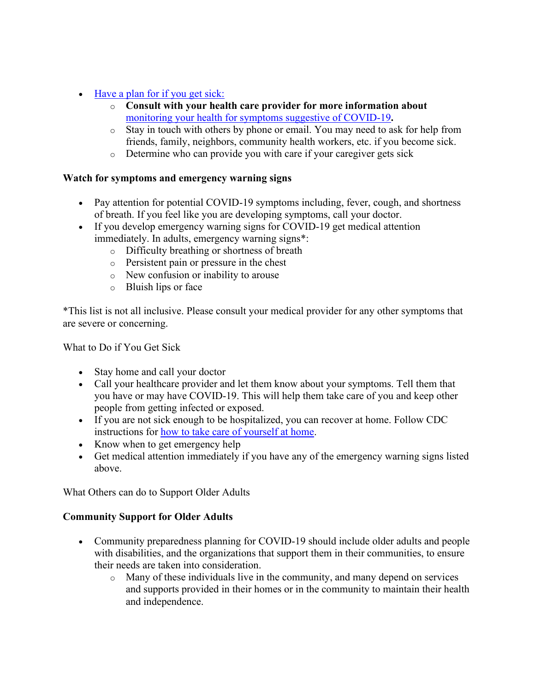- $\bullet$  Have a plan for if you get sick:
	- o **Consult with your health care provider for more information about**  monitoring your health for symptoms suggestive of COVID-19**.**
	- o Stay in touch with others by phone or email. You may need to ask for help from friends, family, neighbors, community health workers, etc. if you become sick.
	- o Determine who can provide you with care if your caregiver gets sick

## **Watch for symptoms and emergency warning signs**

- Pay attention for potential COVID-19 symptoms including, fever, cough, and shortness of breath. If you feel like you are developing symptoms, call your doctor.
- If you develop emergency warning signs for COVID-19 get medical attention immediately. In adults, emergency warning signs\*:
	- o Difficulty breathing or shortness of breath
	- o Persistent pain or pressure in the chest
	- o New confusion or inability to arouse
	- o Bluish lips or face

\*This list is not all inclusive. Please consult your medical provider for any other symptoms that are severe or concerning.

What to Do if You Get Sick

- Stay home and call your doctor
- Call your healthcare provider and let them know about your symptoms. Tell them that you have or may have COVID-19. This will help them take care of you and keep other people from getting infected or exposed.
- If you are not sick enough to be hospitalized, you can recover at home. Follow CDC instructions for how to take care of yourself at home.
- Know when to get emergency help
- Get medical attention immediately if you have any of the emergency warning signs listed above.

What Others can do to Support Older Adults

# **Community Support for Older Adults**

- Community preparedness planning for COVID-19 should include older adults and people with disabilities, and the organizations that support them in their communities, to ensure their needs are taken into consideration.
	- o Many of these individuals live in the community, and many depend on services and supports provided in their homes or in the community to maintain their health and independence.